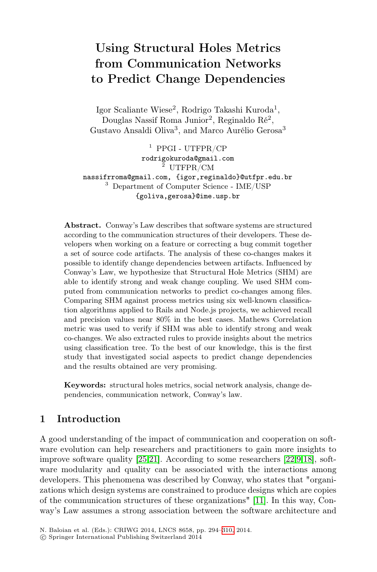# Using Structural Holes Metrics from Communication Networks to Predict Change Dependencies

Igor Scaliante Wiese2, Rodrigo Takashi Kuroda1, Douglas Nassif Roma Junior<sup>2</sup>, Reginaldo Ré<sup>2</sup>, Gustavo Ansaldi Oliva<sup>3</sup>, and Marco Aurélio Gerosa<sup>3</sup>

> $1$  PPGI - UTFPR/CP rodrigokuroda@gmail.com <sup>2</sup> UTFPR/CM

nassifrroma@gmail.com, {igor,reginaldo}@utfpr.edu.br <sup>3</sup> Department of Computer Science - IME/USP {goliva,gerosa}@ime.usp.br

Abstract. Conway's Law describes that software systems are structured according to the communication structures of their developers. These developers when working on a feature or correcting a bug commit together a set of source code artifacts. The analysis of these co-changes makes it possible to identify change dependencies between artifacts. Influenced by Conway's Law, we hypothesize that Structural Hole Metrics (SHM) are able to identify strong and weak change coupling. We used SHM computed from communication networks to predict co-changes among files. Comparing SHM against process metrics using six well-known classification algorithms applied to Rails and Node.js projects, we achieved recall and precision values near 80% in the best cases. Mathews Correlation metric was used to verify if SHM was able to identify strong and weak co-changes. We also extracted rules to provide insights about the metrics using classification tree. To the best of our knowledge, this is the first study that investigated social aspects to predict change dependencies and the results obtained are very promising.

Keywords: structural holes metrics, social network analysis, change dependencies, communication network, Conway's law.

# 1 Introduction

A good understanding of the impact of communication and cooperation on software evolution can help researchers and practitioners to gain more insights to improve software quality [\[25](#page-16-0)[,21\]](#page-15-0). According to some researchers [\[22](#page-15-1)[,9,](#page-15-2)[18\]](#page-15-3), software modularity and quality can be associated with the interactions among developers. This phenomena was described by Conway, who states that "organizations which design systems are constrained to produce designs which are copies of the communication structures of these organizations" [\[11\]](#page-15-4). In this way, Conway's Law assumes a strong association between the software architecture and

<sup>!</sup>c Springer International Publishing Switzerland 2014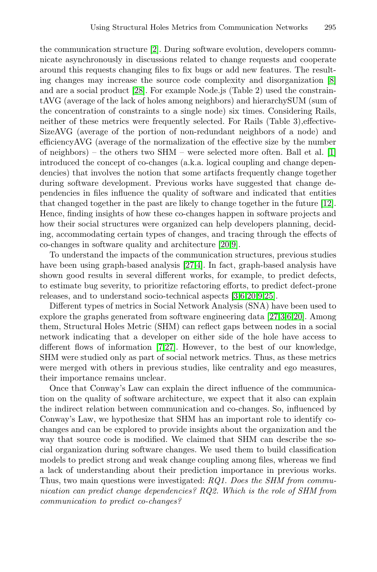the communication structure [\[2\]](#page-14-0). During software evolution, developers communicate asynchronously in discussions related to change requests and cooperate around this requests changing files to fix bugs or add new features. The resulting changes may increase the source code complexity and disorganization [\[8\]](#page-15-5) and are a social product [\[28\]](#page-16-2). For example Node.js (Table 2) used the constraintAVG (average of the lack of holes among neighbors) and hierarchySUM (sum of the concentration of constraints to a single node) six times. Considering Rails, neither of these metrics were frequently selected. For Rails (Table 3),effective-SizeAVG (average of the portion of non-redundant neighbors of a node) and efficiencyAVG (average of the normalization of the effective size by the number of neighbors) – the others two SHM – were selected more often. Ball et al. [\[1\]](#page-14-1) introduced the concept of co-changes (a.k.a. logical coupling and change dependencies) that involves the notion that some artifacts frequently change together during software development. Previous works have suggested that change dependencies in files influence the quality of software and indicated that entities that changed together in the past are likely to change together in the future [\[12\]](#page-15-6). Hence, finding insights of how these co-changes happen in software projects and how their social structures were organized can help developers planning, deciding, accommodating certain types of changes, and tracing through the effects of co-changes in software quality and architecture [\[20](#page-15-7)[,9\]](#page-15-2).

To understand the impacts of the communication structures, previous studies have been using graph-based analysis [\[27](#page-16-3)[,4\]](#page-14-2). In fact, graph-based analysis have shown good results in several different works, for example, to predict defects, to estimate bug severity, to prioritize refactoring efforts, to predict defect-prone releases, and to understand socio-technical aspects [\[3,](#page-14-3)[6,](#page-15-8)[20,](#page-15-7)[9,](#page-15-2)[25\]](#page-16-0).

Different types of metrics in Social Network Analysis (SNA) have been used to explore the graphs generated from software engineering data [\[27](#page-16-3)[,3,](#page-14-3)[6](#page-15-8)[,20\]](#page-15-7). Among them, Structural Holes Metric (SHM) can reflect gaps between nodes in a social network indicating that a developer on either side of the hole have access to different flows of information [\[7,](#page-15-9)[27\]](#page-16-3). However, to the best of our knowledge, SHM were studied only as part of social network metrics. Thus, as these metrics were merged with others in previous studies, like centrality and ego measures, their importance remains unclear.

Once that Conway's Law can explain the direct influence of the communication on the quality of software architecture, we expect that it also can explain the indirect relation between communication and co-changes. So, influenced by Conway's Law, we hypothesize that SHM has an important role to identify cochanges and can be explored to provide insights about the organization and the way that source code is modified. We claimed that SHM can describe the social organization during software changes. We used them to build classification models to predict strong and weak change coupling among files, whereas we find a lack of understanding about their prediction importance in previous works. Thus, two main questions were investigated: *RQ1. Does the SHM from communication can predict change dependencies? RQ2. Which is the role of SHM from communication to predict co-changes?*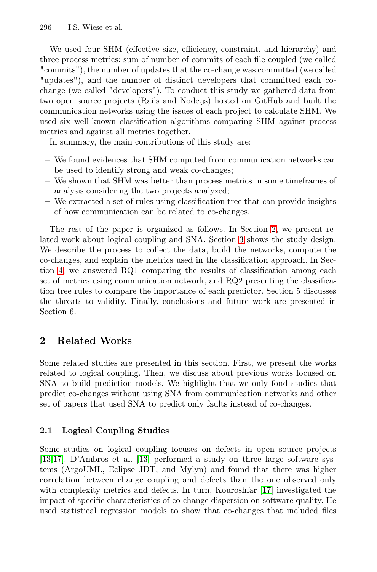We used four SHM (effective size, efficiency, constraint, and hierarchy) and three process metrics: sum of number of commits of each file coupled (we called "commits"), the number of updates that the co-change was committed (we called "updates"), and the number of distinct developers that committed each cochange (we called "developers"). To conduct this study we gathered data from two open source projects (Rails and Node.js) hosted on GitHub and built the communication networks using the issues of each project to calculate SHM. We used six well-known classification algorithms comparing SHM against process metrics and against all metrics together.

In summary, the main contributions of this study are:

- We found evidences that SHM computed from communication networks can be used to identify strong and weak co-changes;
- We shown that SHM was better than process metrics in some timeframes of analysis considering the two projects analyzed;
- We extracted a set of rules using classification tree that can provide insights of how communication can be related to co-changes.

<span id="page-2-0"></span>The rest of the paper is organized as follows. In Section [2,](#page-2-0) we present related work about logical coupling and SNA. Section [3](#page-3-0) shows the study design. We describe the process to collect the data, build the networks, compute the co-changes, and explain the metrics used in the classification approach. In Section [4,](#page-7-0) we answered RQ1 comparing the results of classification among each set of metrics using communication network, and RQ2 presenting the classification tree rules to compare the importance of each predictor. Section 5 discusses the threats to validity. Finally, conclusions and future work are presented in Section 6.

# 2 Related Works

Some related studies are presented in this section. First, we present the works related to logical coupling. Then, we discuss about previous works focused on SNA to build prediction models. We highlight that we only fond studies that predict co-changes without using SNA from communication networks and other set of papers that used SNA to predict only faults instead of co-changes.

# 2.1 Logical Coupling Studies

Some studies on logical coupling focuses on defects in open source projects [\[13,](#page-15-10)[17\]](#page-15-11). D'Ambros et al. [\[13\]](#page-15-10) performed a study on three large software systems (ArgoUML, Eclipse JDT, and Mylyn) and found that there was higher correlation between change coupling and defects than the one observed only with complexity metrics and defects. In turn, Kouroshfar [\[17\]](#page-15-11) investigated the impact of specific characteristics of co-change dispersion on software quality. He used statistical regression models to show that co-changes that included files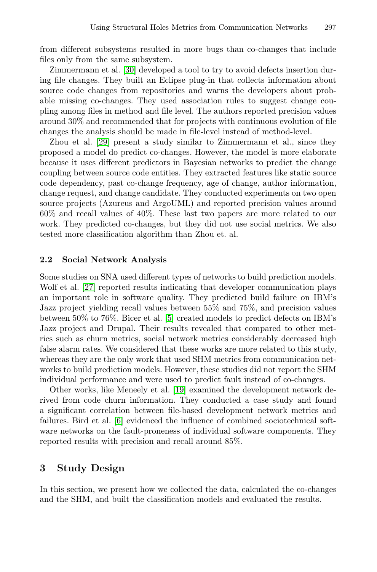from different subsystems resulted in more bugs than co-changes that include files only from the same subsystem.

Zimmermann et al. [\[30\]](#page-16-4) developed a tool to try to avoid defects insertion during file changes. They built an Eclipse plug-in that collects information about source code changes from repositories and warns the developers about probable missing co-changes. They used association rules to suggest change coupling among files in method and file level. The authors reported precision values around 30% and recommended that for projects with continuous evolution of file changes the analysis should be made in file-level instead of method-level.

Zhou et al. [\[29\]](#page-16-5) present a study similar to Zimmermann et al., since they proposed a model do predict co-changes. However, the model is more elaborate because it uses different predictors in Bayesian networks to predict the change coupling between source code entities. They extracted features like static source code dependency, past co-change frequency, age of change, author information, change request, and change candidate. They conducted experiments on two open source projects (Azureus and ArgoUML) and reported precision values around 60% and recall values of 40%. These last two papers are more related to our work. They predicted co-changes, but they did not use social metrics. We also tested more classification algorithm than Zhou et. al.

#### 2.2 Social Network Analysis

Some studies on SNA used different types of networks to build prediction models. Wolf et al. [\[27\]](#page-16-3) reported results indicating that developer communication plays an important role in software quality. They predicted build failure on IBM's Jazz project yielding recall values between 55% and 75%, and precision values between 50% to 76%. Bicer et al. [\[5\]](#page-15-12) created models to predict defects on IBM's Jazz project and Drupal. Their results revealed that compared to other metrics such as churn metrics, social network metrics considerably decreased high false alarm rates. We considered that these works are more related to this study, whereas they are the only work that used SHM metrics from communication networks to build prediction models. However, these studies did not report the SHM individual performance and were used to predict fault instead of co-changes.

<span id="page-3-0"></span>Other works, like Meneely et al. [\[19\]](#page-15-13) examined the development network derived from code churn information. They conducted a case study and found a significant correlation between file-based development network metrics and failures. Bird et al. [\[6\]](#page-15-8) evidenced the influence of combined sociotechnical software networks on the fault-proneness of individual software components. They reported results with precision and recall around 85%.

#### 3 Study Design

In this section, we present how we collected the data, calculated the co-changes and the SHM, and built the classification models and evaluated the results.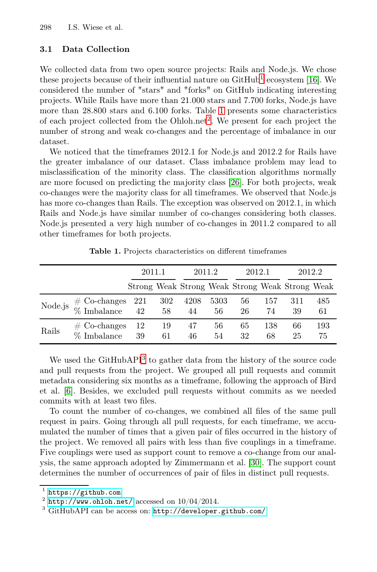#### <span id="page-4-1"></span>3.1 Data Collection

We collected data from two open source projects: Rails and Node.js. We chose these projects because of their influential nature on  $G$ itHub<sup>1</sup> ecosystem [\[16\]](#page-15-14). We considered the number of "stars" and "forks" on GitHub indicating interesting projects. While Rails have more than 21.000 stars and 7.700 forks, Node.js have more than 28.800 stars and 6.100 forks. Table [1](#page-4-0) presents some characteristics of each project collected from the Ohloh.net2. We present for each project the number of strong and weak co-changes and the percentage of imbalance in our dataset.

We noticed that the timeframes 2012.1 for Node.js and 2012.2 for Rails have the greater imbalance of our dataset. Class imbalance problem may lead to misclassification of the minority class. The classification algorithms normally are more focused on predicting the majority class [\[26\]](#page-16-6). For both projects, weak co-changes were the majority class for all timeframes. We observed that Node.js has more co-changes than Rails. The exception was observed on 2012.1, in which Rails and Node.js have similar number of co-changes considering both classes. Node.js presented a very high number of co-changes in 2011.2 compared to all other timeframes for both projects.

|         |                 | 2011.1 |     | 2011.2 |      | 2012.1 |     | 2012.2                                          |     |
|---------|-----------------|--------|-----|--------|------|--------|-----|-------------------------------------------------|-----|
|         |                 |        |     |        |      |        |     | Strong Weak Strong Weak Strong Weak Strong Weak |     |
| Node.js | $\#$ Co-changes | 221    | 302 | 4208   | 5303 | 56     | 157 | 311                                             | 485 |
|         | $\%$ Imbalance  | 42     | 58  | 44     | 56   | 26     | 74  | 39                                              | 61  |
| Rails   | $\#$ Co-changes | 12     | 19  | 47     | 56   | 65     | 138 | 66                                              | 193 |
|         | $%$ Imbalance   | 39     | 61  | 46     | 54   | 32     | 68  | 25                                              | 75  |

<span id="page-4-0"></span>Table 1. Projects characteristics on different timeframes

We used the  $G$ itHubAPI<sup>3</sup> to gather data from the history of the source code and pull requests from the project. We grouped all pull requests and commit metadata considering six months as a timeframe, following the approach of Bird et al. [\[6\]](#page-15-8). Besides, we excluded pull requests without commits as we needed commits with at least two files.

To count the number of co-changes, we combined all files of the same pull request in pairs. Going through all pull requests, for each timeframe, we accumulated the number of times that a given pair of files occurred in the history of the project. We removed all pairs with less than five couplings in a timeframe. Five couplings were used as support count to remove a co-change from our analysis, the same approach adopted by Zimmermann et al. [\[30\]](#page-16-4). The support count determines the number of occurrences of pair of files in distinct pull requests.

<sup>&</sup>lt;sup>1</sup> <https://github.com><br><sup>2</sup> <http://www.ohloh.net/> accessed on  $10/04/2014$ .

<sup>3</sup> GitHubAPI can be access on: <http://developer.github.com/>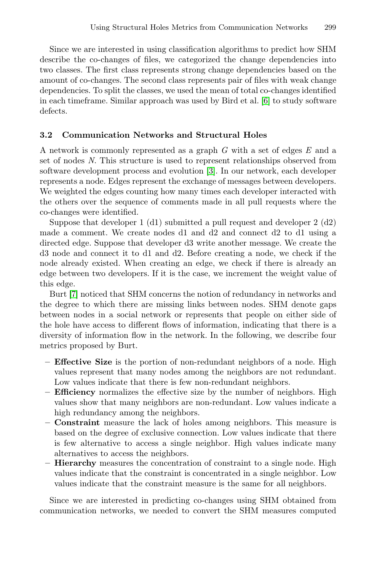Since we are interested in using classification algorithms to predict how SHM describe the co-changes of files, we categorized the change dependencies into two classes. The first class represents strong change dependencies based on the amount of co-changes. The second class represents pair of files with weak change dependencies. To split the classes, we used the mean of total co-changes identified in each timeframe. Similar approach was used by Bird et al. [\[6\]](#page-15-8) to study software defects.

#### 3.2 Communication Networks and Structural Holes

A network is commonly represented as a graph *G* with a set of edges *E* and a set of nodes *N*. This structure is used to represent relationships observed from software development process and evolution [\[3\]](#page-14-3). In our network, each developer represents a node. Edges represent the exchange of messages between developers. We weighted the edges counting how many times each developer interacted with the others over the sequence of comments made in all pull requests where the co-changes were identified.

Suppose that developer 1 (d1) submitted a pull request and developer 2 (d2) made a comment. We create nodes d1 and d2 and connect d2 to d1 using a directed edge. Suppose that developer d3 write another message. We create the d3 node and connect it to d1 and d2. Before creating a node, we check if the node already existed. When creating an edge, we check if there is already an edge between two developers. If it is the case, we increment the weight value of this edge.

Burt [\[7\]](#page-15-9) noticed that SHM concerns the notion of redundancy in networks and the degree to which there are missing links between nodes. SHM denote gaps between nodes in a social network or represents that people on either side of the hole have access to different flows of information, indicating that there is a diversity of information flow in the network. In the following, we describe four metrics proposed by Burt.

- Effective Size is the portion of non-redundant neighbors of a node. High values represent that many nodes among the neighbors are not redundant. Low values indicate that there is few non-redundant neighbors.
- Efficiency normalizes the effective size by the number of neighbors. High values show that many neighbors are non-redundant. Low values indicate a high redundancy among the neighbors.
- Constraint measure the lack of holes among neighbors. This measure is based on the degree of exclusive connection. Low values indicate that there is few alternative to access a single neighbor. High values indicate many alternatives to access the neighbors.
- Hierarchy measures the concentration of constraint to a single node. High values indicate that the constraint is concentrated in a single neighbor. Low values indicate that the constraint measure is the same for all neighbors.

Since we are interested in predicting co-changes using SHM obtained from communication networks, we needed to convert the SHM measures computed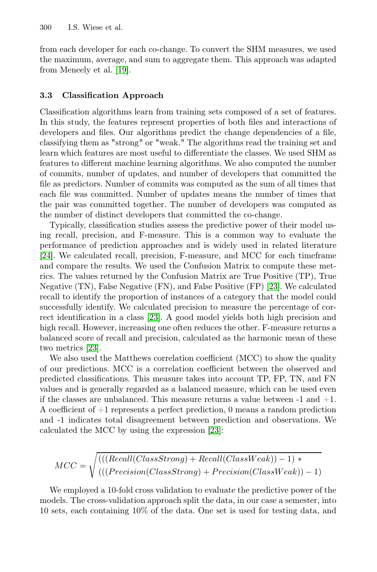<span id="page-6-0"></span>from each developer for each co-change. To convert the SHM measures, we used the maximum, average, and sum to aggregate them. This approach was adapted from Meneely et al. [\[19\]](#page-15-13).

#### 3.3 Classification Approach

Classification algorithms learn from training sets composed of a set of features. In this study, the features represent properties of both files and interactions of developers and files. Our algorithms predict the change dependencies of a file, classifying them as "strong" or "weak." The algorithms read the training set and learn which features are most useful to differentiate the classes. We used SHM as features to different machine learning algorithms. We also computed the number of commits, number of updates, and number of developers that committed the file as predictors. Number of commits was computed as the sum of all times that each file was committed. Number of updates means the number of times that the pair was committed together. The number of developers was computed as the number of distinct developers that committed the co-change.

Typically, classification studies assess the predictive power of their model using recall, precision, and F-measure. This is a common way to evaluate the performance of prediction approaches and is widely used in related literature [\[24\]](#page-15-15). We calculated recall, precision, F-measure, and MCC for each timeframe and compare the results. We used the Confusion Matrix to compute these metrics. The values returned by the Confusion Matrix are True Positive (TP), True Negative (TN), False Negative (FN), and False Positive (FP) [\[23\]](#page-15-16). We calculated recall to identify the proportion of instances of a category that the model could successfully identify. We calculated precision to measure the percentage of correct identification in a class [\[23\]](#page-15-16). A good model yields both high precision and high recall. However, increasing one often reduces the other. F-measure returns a balanced score of recall and precision, calculated as the harmonic mean of these two metrics [\[23\]](#page-15-16).

We also used the Matthews correlation coefficient (MCC) to show the quality of our predictions. MCC is a correlation coefficient between the observed and predicted classifications. This measure takes into account TP, FP, TN, and FN values and is generally regarded as a balanced measure, which can be used even if the classes are unbalanced. This measure returns a value between  $-1$  and  $+1$ . A coefficient of  $+1$  represents a perfect prediction, 0 means a random prediction and -1 indicates total disagreement between prediction and observations. We calculated the MCC by using the expression [\[23\]](#page-15-16):

$$
MCC = \sqrt{\frac{(((Recall(ClassStrong) + Recall(ClassWeak)) - 1) *}{(((Precision(ClassStrong) + Precision(ClassWeak)) - 1)}}
$$

We employed a 10-fold cross validation to evaluate the predictive power of the models. The cross-validation approach split the data, in our case a semester, into 10 sets, each containing 10% of the data. One set is used for testing data, and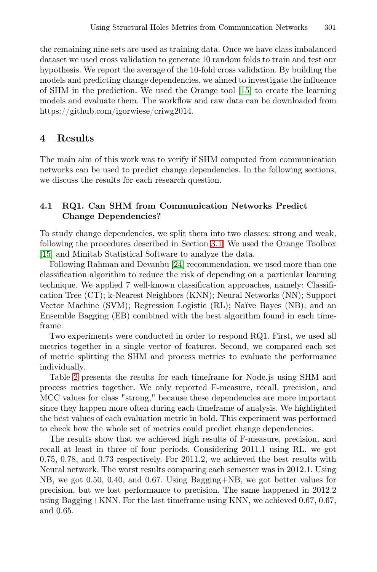<span id="page-7-0"></span>the remaining nine sets are used as training data. Once we have class imbalanced dataset we used cross validation to generate 10 random folds to train and test our hypothesis. We report the average of the 10-fold cross validation. By building the models and predicting change dependencies, we aimed to investigate the influence of SHM in the prediction. We used the Orange tool [\[15\]](#page-15-17) to create the learning models and evaluate them. The workflow and raw data can be downloaded from https://github.com/igorwiese/criwg2014.

## 4 Results

The main aim of this work was to verify if SHM computed from communication networks can be used to predict change dependencies. In the following sections, we discuss the results for each research question.

#### 4.1 RQ1. Can SHM from Communication Networks Predict Change Dependencies?

To study change dependencies, we split them into two classes: strong and weak, following the procedures described in Section [3.1.](#page-4-1) We used the Orange Toolbox [\[15\]](#page-15-17) and Minitab Statistical Software to analyze the data.

Following Rahman and Devanbu [\[24\]](#page-15-15) recommendation, we used more than one classification algorithm to reduce the risk of depending on a particular learning technique. We applied 7 well-known classification approaches, namely: Classification Tree (CT); k-Nearest Neighbors (KNN); Neural Networks (NN); Support Vector Machine (SVM); Regression Logistic (RL); Naïve Bayes (NB); and an Ensemble Bagging (EB) combined with the best algorithm found in each timeframe.

Two experiments were conducted in order to respond RQ1. First, we used all metrics together in a single vector of features. Second, we compared each set of metric splitting the SHM and process metrics to evaluate the performance individually.

Table [2](#page-8-0) presents the results for each timeframe for Node.js using SHM and process metrics together. We only reported F-measure, recall, precision, and MCC values for class "strong," because these dependencies are more important since they happen more often during each timeframe of analysis. We highlighted the best values of each evaluation metric in bold. This experiment was performed to check how the whole set of metrics could predict change dependencies.

The results show that we achieved high results of F-measure, precision, and recall at least in three of four periods. Considering 2011.1 using RL, we got 0.75, 0.78, and 0.73 respectively. For 2011.2, we achieved the best results with Neural network. The worst results comparing each semester was in 2012.1. Using NB, we got 0.50, 0.40, and 0.67. Using Bagging+NB, we got better values for precision, but we lost performance to precision. The same happened in 2012.2 using Bagging+KNN. For the last timeframe using KNN, we achieved 0.67, 0.67, and 0.65.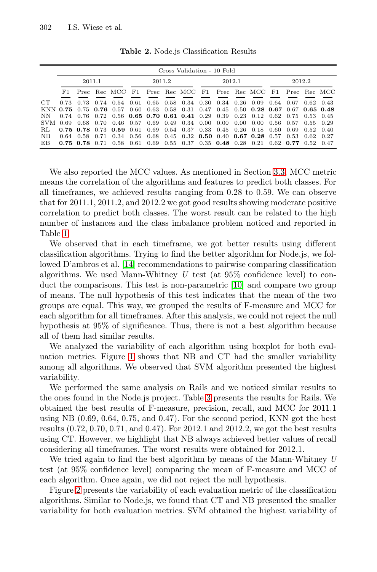|            |             | Cross Validation - 10 Fold |      |                                    |        |  |  |                                                                                     |        |  |      |                      |             |                      |                   |              |
|------------|-------------|----------------------------|------|------------------------------------|--------|--|--|-------------------------------------------------------------------------------------|--------|--|------|----------------------|-------------|----------------------|-------------------|--------------|
|            |             | 2011.1                     |      |                                    | 2011.2 |  |  |                                                                                     | 2012.1 |  |      | 2012.2               |             |                      |                   |              |
|            | $_{\rm F1}$ | Prec                       |      |                                    |        |  |  | Rec MCC F1 Prec Rec MCC F1 Prec Rec MCC                                             |        |  |      |                      | $_{\rm F1}$ |                      |                   | Prec Rec MCC |
| CT.        | 0.73        | 0.73                       | 0.74 | 0.54                               | 0.61   |  |  | $0.65$ $0.58$ $0.34$ $0.30$ $0.34$                                                  |        |  | 0.26 | 0.09                 | 0.64        | 0.67                 | $0.62 \quad 0.43$ |              |
|            |             |                            |      |                                    |        |  |  | KNN 0.75 0.75 0.76 0.57 0.60 0.63 0.58 0.31 0.47 0.45 0.50 0.28 0.67 0.67 0.65 0.48 |        |  |      |                      |             |                      |                   |              |
| <b>NN</b>  |             |                            |      |                                    |        |  |  | $0.74$ $0.76$ $0.72$ $0.56$ $0.65$ $0.70$ $0.61$ $0.41$ $0.29$ $0.39$               |        |  |      | $0.23$ $0.12$ $0.62$ |             | $0.75$ $0.53$ $0.45$ |                   |              |
| <b>SVM</b> |             | 0.69 0.68 0.70             |      |                                    |        |  |  | 0.46 0.57 0.69 0.49 0.34 0.00 0.00                                                  |        |  |      | 0.00 0.00            | 0.56        |                      | 0.57 0.55         | 0.29         |
| RL         |             |                            |      | $0.75$ $0.78$ $0.73$ $0.59$ $0.61$ |        |  |  | 0.69 0.54 0.37 0.33 0.45 0.26 0.18 0.60                                             |        |  |      |                      |             |                      | $0.69$ $0.52$     | 0.40         |
| <b>NB</b>  |             | 0.64 0.58 0.71             |      | 0.34 0.56                          |        |  |  | $0.68$ $0.45$ $0.32$ $0.50$ $0.40$ $0.67$ $0.28$ $0.57$                             |        |  |      |                      |             | $0.53 \quad 0.62$    |                   | -0.27        |
| EB.        |             |                            |      | 0.75 0.78 0.71 0.58 0.61           |        |  |  | $0.69$ $0.55$ $0.37$ $0.35$ $0.48$ $0.28$ $0.21$ $0.62$ $0.77$ $0.52$ $0.47$        |        |  |      |                      |             |                      |                   |              |

<span id="page-8-0"></span>Table 2. Node.js Classification Results

We also reported the MCC values. As mentioned in Section [3.3,](#page-6-0) MCC metric means the correlation of the algorithms and features to predict both classes. For all timeframes, we achieved results ranging from 0.28 to 0.59. We can observe that for 2011.1, 2011.2, and 2012.2 we got good results showing moderate positive correlation to predict both classes. The worst result can be related to the high number of instances and the class imbalance problem noticed and reported in Table [1.](#page-4-0)

We observed that in each timeframe, we got better results using different classification algorithms. Trying to find the better algorithm for Node.js, we followed D'ambros et al. [\[14\]](#page-15-18) recommendations to pairwise comparing classification algorithms. We used Mann-Whitney *U* test (at 95% confidence level) to conduct the comparisons. This test is non-parametric [\[10\]](#page-15-19) and compare two group of means. The null hypothesis of this test indicates that the mean of the two groups are equal. This way, we grouped the results of F-measure and MCC for each algorithm for all timeframes. After this analysis, we could not reject the null hypothesis at 95% of significance. Thus, there is not a best algorithm because all of them had similar results.

We analyzed the variability of each algorithm using boxplot for both evaluation metrics. Figure [1](#page-9-0) shows that NB and CT had the smaller variability among all algorithms. We observed that SVM algorithm presented the highest variability.

We performed the same analysis on Rails and we noticed similar results to the ones found in the Node.js project. Table [3](#page-9-1) presents the results for Rails. We obtained the best results of F-measure, precision, recall, and MCC for 2011.1 using NB (0.69, 0.64, 0.75, and 0.47). For the second period, KNN got the best results (0.72, 0.70, 0.71, and 0.47). For 2012.1 and 2012.2, we got the best results using CT. However, we highlight that NB always achieved better values of recall considering all timeframes. The worst results were obtained for 2012.1.

We tried again to find the best algorithm by means of the Mann-Whitney *U* test (at 95% confidence level) comparing the mean of F-measure and MCC of each algorithm. Once again, we did not reject the null hypothesis.

Figure [2](#page-10-0) presents the variability of each evaluation metric of the classification algorithms. Similar to Node.js, we found that CT and NB presented the smaller variability for both evaluation metrics. SVM obtained the highest variability of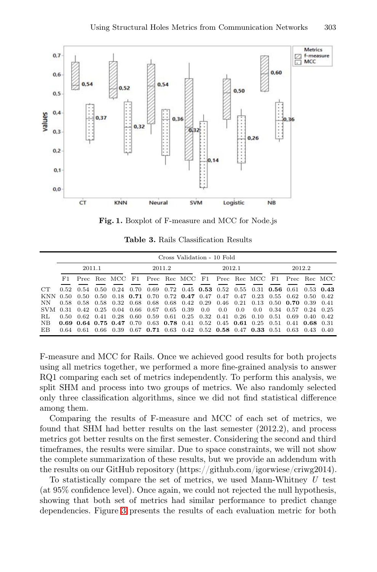

Fig. 1. Boxplot of F-measure and MCC for Node.js

<span id="page-9-1"></span><span id="page-9-0"></span>Table 3. Rails Classification Results

|            | Cross Validation - 10 Fold |                              |      |                                    |      |                  |  |                                                                |     |        |         |                                                |        |                |                   |              |
|------------|----------------------------|------------------------------|------|------------------------------------|------|------------------|--|----------------------------------------------------------------|-----|--------|---------|------------------------------------------------|--------|----------------|-------------------|--------------|
|            | 2011.1                     |                              |      |                                    |      | 2011.2           |  |                                                                |     | 2012.1 |         |                                                | 2012.2 |                |                   |              |
|            | F1.                        | Prec                         |      | - Rec - MCC                        | - F1 |                  |  |                                                                |     |        |         | Prec Rec MCC F1 Prec Rec MCC F1                |        |                |                   | Prec Rec MCC |
| CT.        | 0.52.                      | 0.54 0.50                    |      | $0.24$ 0.70                        |      |                  |  | $0.69$ $0.72$ $0.45$ $0.53$ $0.52$                             |     |        |         | $0.55$ $0.31$ $0.56$ $0.61$ $0.53$ $0.43$      |        |                |                   |              |
| <b>KNN</b> |                            | 0.50 0.50                    | 0.50 |                                    |      |                  |  | $0.18$ $0.71$ $0.70$ $0.72$ $0.47$ $0.47$ $0.47$ $0.47$ $0.23$ |     |        |         |                                                |        | 0.55 0.62 0.50 |                   | 0.42         |
| NN         |                            | 0.58 0.58 0.58               |      |                                    |      |                  |  | 0.32 0.68 0.68 0.68 0.42 0.29 0.46                             |     |        | 0.21    | 0.13                                           |        | 0.50 0.70 0.39 |                   | 0.41         |
| <b>SVM</b> | 0.31                       | $0.42 \quad 0.25$            |      | $0.04 \quad 0.66$                  |      | $0.67$ 0.65 0.39 |  |                                                                | 0.0 | 0.0    | $0.0^-$ | $0.0^-$                                        | 0.34   | 0.57           | 0.24              | -0.25        |
| RL         |                            | $0.50 \quad 0.62 \quad 0.41$ |      | $0.28$ 0.60                        |      |                  |  | $0.59$ $0.61$ $0.25$ $0.32$ $0.41$                             |     |        | 0.26    | 0.10                                           | 0.51   | 0.69           | 0.40              | 0.42         |
| <b>NB</b>  |                            |                              |      | $0.69$ $0.64$ $0.75$ $0.47$ $0.70$ |      |                  |  |                                                                |     |        |         | 0.63 0.78 0.41 0.52 0.45 0.61 0.25 0.51        |        |                | $0.41$ 0.68       | - 0.31       |
| EB.        |                            | $0.64$ $0.61$ $0.66$         |      | 0.39                               |      |                  |  |                                                                |     |        |         | $0.67$ 0.71 0.63 0.42 0.52 0.58 0.47 0.33 0.51 |        |                | $0.63 \quad 0.43$ | -0.40        |

F-measure and MCC for Rails. Once we achieved good results for both projects using all metrics together, we performed a more fine-grained analysis to answer RQ1 comparing each set of metrics independently. To perform this analysis, we split SHM and process into two groups of metrics. We also randomly selected only three classification algorithms, since we did not find statistical difference among them.

Comparing the results of F-measure and MCC of each set of metrics, we found that SHM had better results on the last semester (2012.2), and process metrics got better results on the first semester. Considering the second and third timeframes, the results were similar. Due to space constraints, we will not show the complete summarization of these results, but we provide an addendum with the results on our GitHub repository (https://github.com/igorwiese/criwg2014).

To statistically compare the set of metrics, we used Mann-Whitney *U* test (at 95% confidence level). Once again, we could not rejected the null hypothesis, showing that both set of metrics had similar performance to predict change dependencies. Figure [3](#page-10-1) presents the results of each evaluation metric for both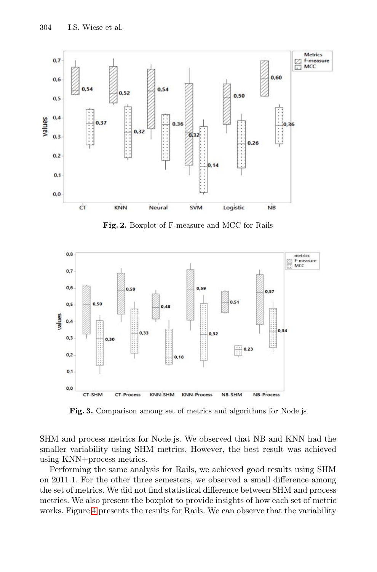

<span id="page-10-0"></span>Fig. 2. Boxplot of F-measure and MCC for Rails



<span id="page-10-1"></span>Fig. 3. Comparison among set of metrics and algorithms for Node.js

SHM and process metrics for Node.js. We observed that NB and KNN had the smaller variability using SHM metrics. However, the best result was achieved using KNN+process metrics.

Performing the same analysis for Rails, we achieved good results using SHM on 2011.1. For the other three semesters, we observed a small difference among the set of metrics. We did not find statistical difference between SHM and process metrics. We also present the boxplot to provide insights of how each set of metric works. Figure [4](#page-11-0) presents the results for Rails. We can observe that the variability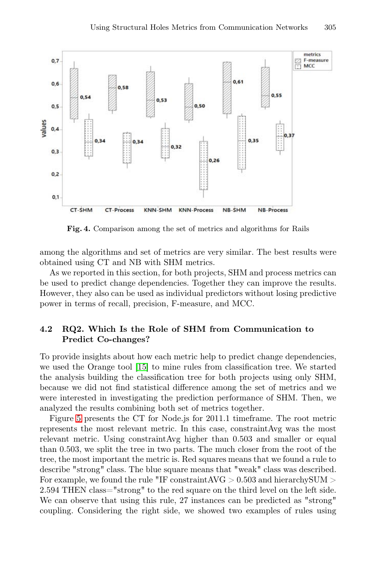

<span id="page-11-0"></span>Fig. 4. Comparison among the set of metrics and algorithms for Rails

among the algorithms and set of metrics are very similar. The best results were obtained using CT and NB with SHM metrics.

As we reported in this section, for both projects, SHM and process metrics can be used to predict change dependencies. Together they can improve the results. However, they also can be used as individual predictors without losing predictive power in terms of recall, precision, F-measure, and MCC.

## 4.2 RQ2. Which Is the Role of SHM from Communication to Predict Co-changes?

To provide insights about how each metric help to predict change dependencies, we used the Orange tool [\[15\]](#page-15-17) to mine rules from classification tree. We started the analysis building the classification tree for both projects using only SHM, because we did not find statistical difference among the set of metrics and we were interested in investigating the prediction performance of SHM. Then, we analyzed the results combining both set of metrics together.

Figure [5](#page-12-0) presents the CT for Node.js for 2011.1 timeframe. The root metric represents the most relevant metric. In this case, constraintAvg was the most relevant metric. Using constraintAvg higher than 0.503 and smaller or equal than 0.503, we split the tree in two parts. The much closer from the root of the tree, the most important the metric is. Red squares means that we found a rule to describe "strong" class. The blue square means that "weak" class was described. For example, we found the rule "IF constraint  $AVG > 0.503$  and hierarchy SUM  $>$ 2.594 THEN class="strong" to the red square on the third level on the left side. We can observe that using this rule, 27 instances can be predicted as "strong" coupling. Considering the right side, we showed two examples of rules using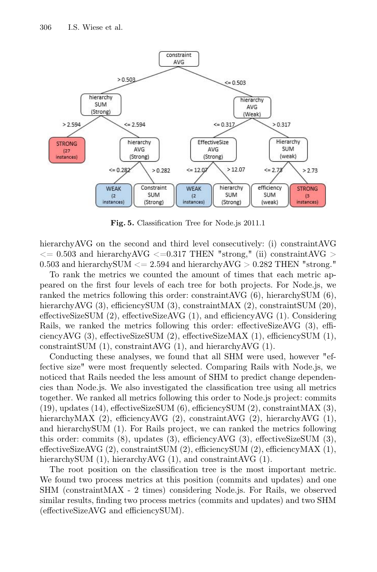

<span id="page-12-0"></span>Fig. 5. Classification Tree for Node.js 2011.1

hierarchyAVG on the second and third level consecutively: (i) constraintAVG  $\epsilon$  = 0.503 and hierarchyAVG  $\epsilon$  = 0.317 THEN "strong," (ii) constraintAVG  $>$ 0.503 and hierarchySUM  $\epsilon$  = 2.594 and hierarchyAVG  $>$  0.282 THEN "strong."

To rank the metrics we counted the amount of times that each metric appeared on the first four levels of each tree for both projects. For Node.js, we ranked the metrics following this order: constraintAVG (6), hierarchySUM (6), hierarchyAVG (3), efficiencySUM (3), constraintMAX (2), constraintSUM (20), effectiveSizeSUM (2), effectiveSizeAVG (1), and efficiencyAVG (1). Considering Rails, we ranked the metrics following this order: effectiveSizeAVG (3), efficiencyAVG (3), effectiveSizeSUM (2), effectiveSizeMAX (1), efficiencySUM (1), constraintSUM (1), constraintAVG (1), and hierarchyAVG (1).

Conducting these analyses, we found that all SHM were used, however "effective size" were most frequently selected. Comparing Rails with Node.js, we noticed that Rails needed the less amount of SHM to predict change dependencies than Node.js. We also investigated the classification tree using all metrics together. We ranked all metrics following this order to Node.js project: commits (19), updates (14), effectiveSizeSUM (6), efficiencySUM (2), constraintMAX (3), hierarchyMAX (2), efficiencyAVG (2), constraintAVG (2), hierarchyAVG (1), and hierarchySUM (1). For Rails project, we can ranked the metrics following this order: commits (8), updates (3), efficiencyAVG (3), effectiveSizeSUM (3), effectiveSizeAVG (2), constraintSUM (2), efficiencySUM (2), efficiencyMAX (1), hierarchySUM (1), hierarchyAVG (1), and constraintAVG (1).

The root position on the classification tree is the most important metric. We found two process metrics at this position (commits and updates) and one SHM (constraintMAX - 2 times) considering Node.js. For Rails, we observed similar results, finding two process metrics (commits and updates) and two SHM (effectiveSizeAVG and efficiencySUM).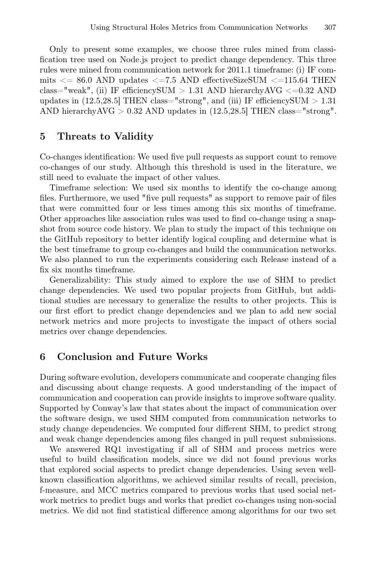Only to present some examples, we choose three rules mined from classification tree used on Node.js project to predict change dependency. This three rules were mined from communication network for 2011.1 timeframe: (i) IF commits  $\epsilon$  = 86.0 AND updates  $\epsilon$ =7.5 AND effectiveSizeSUM  $\epsilon$ =115.64 THEN class="weak", (ii) IF efficiencySUM  $> 1.31$  AND hierarchyAVG  $<=0.32$  AND updates in  $(12.5,28.5)$  THEN class="strong", and (iii) IF efficiencySUM  $> 1.31$ AND hierarchyAVG  $> 0.32$  AND updates in  $(12.5, 28.5)$  THEN class="strong".

# 5 Threats to Validity

Co-changes identification: We used five pull requests as support count to remove co-changes of our study. Although this threshold is used in the literature, we still need to evaluate the impact of other values.

Timeframe selection: We used six months to identify the co-change among files. Furthermore, we used "five pull requests" as support to remove pair of files that were committed four or less times among this six months of timeframe. Other approaches like association rules was used to find co-change using a snapshot from source code history. We plan to study the impact of this technique on the GitHub repository to better identify logical coupling and determine what is the best timeframe to group co-changes and build the communication networks. We also planned to run the experiments considering each Release instead of a fix six months timeframe.

Generalizability: This study aimed to explore the use of SHM to predict change dependencies. We used two popular projects from GitHub, but additional studies are necessary to generalize the results to other projects. This is our first effort to predict change dependencies and we plan to add new social network metrics and more projects to investigate the impact of others social metrics over change dependencies.

# 6 Conclusion and Future Works

During software evolution, developers communicate and cooperate changing files and discussing about change requests. A good understanding of the impact of communication and cooperation can provide insights to improve software quality. Supported by Conway's law that states about the impact of communication over the software design, we used SHM computed from communication networks to study change dependencies. We computed four different SHM, to predict strong and weak change dependencies among files changed in pull request submissions.

We answered RQ1 investigating if all of SHM and process metrics were useful to build classification models, since we did not found previous works that explored social aspects to predict change dependencies. Using seven wellknown classification algorithms, we achieved similar results of recall, precision, f-measure, and MCC metrics compared to previous works that used social network metrics to predict bugs and works that predict co-changes using non-social metrics. We did not find statistical difference among algorithms for our two set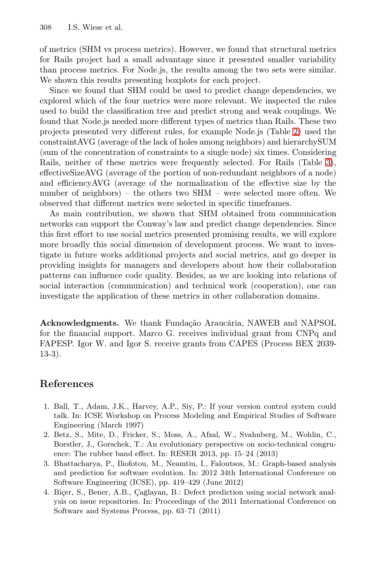of metrics (SHM vs process metrics). However, we found that structural metrics for Rails project had a small advantage since it presented smaller variability than process metrics. For Node.js, the results among the two sets were similar. We shown this results presenting boxplots for each project.

Since we found that SHM could be used to predict change dependencies, we explored which of the four metrics were more relevant. We inspected the rules used to build the classification tree and predict strong and weak couplings. We found that Node.js needed more different types of metrics than Rails. These two projects presented very different rules, for example Node.js (Table [2\)](#page-8-0) used the constraintAVG (average of the lack of holes among neighbors) and hierarchySUM (sum of the concentration of constraints to a single node) six times. Considering Rails, neither of these metrics were frequently selected. For Rails (Table [3\)](#page-9-1), effectiveSizeAVG (average of the portion of non-redundant neighbors of a node) and efficiencyAVG (average of the normalization of the effective size by the number of neighbors) – the others two SHM – were selected more often. We observed that different metrics were selected in specific timeframes.

As main contribution, we shown that SHM obtained from communication networks can support the Conway's law and predict change dependencies. Since this first effort to use social metrics presented promising results, we will explore more broadly this social dimension of development process. We want to investigate in future works additional projects and social metrics, and go deeper in providing insights for managers and developers about how their collaboration patterns can influence code quality. Besides, as we are looking into relations of social interaction (communication) and technical work (cooperation), one can investigate the application of these metrics in other collaboration domains.

<span id="page-14-1"></span>Acknowledgments. We thank Fundação Araucária, NAWEB and NAPSOL for the financial support. Marco G. receives individual grant from CNPq and FAPESP. Igor W. and Igor S. receive grants from CAPES (Process BEX 2039- 13-3).

# <span id="page-14-0"></span>References

- <span id="page-14-3"></span><span id="page-14-2"></span>1. Ball, T., Adam, J.K., Harvey, A.P., Siy, P.: If your version control system could talk. In: ICSE Workshop on Process Modeling and Empirical Studies of Software Engineering (March 1997)
- 2. Betz, S., Mite, D., Fricker, S., Moss, A., Afzal, W., Svahnberg, M., Wohlin, C., Borstler, J., Gorschek, T.: An evolutionary perspective on socio-technical congruence: The rubber band effect. In: RESER 2013, pp. 15–24 (2013)
- 3. Bhattacharya, P., Iliofotou, M., Neamtiu, I., Faloutsos, M.: Graph-based analysis and prediction for software evolution. In: 2012 34th International Conference on Software Engineering (ICSE), pp. 419–429 (June 2012)
- 4. Biçer, S., Bener, A.B., Çağlayan, B.: Defect prediction using social network analysis on issue repositories. In: Proceedings of the 2011 International Conference on Software and Systems Process, pp. 63–71 (2011)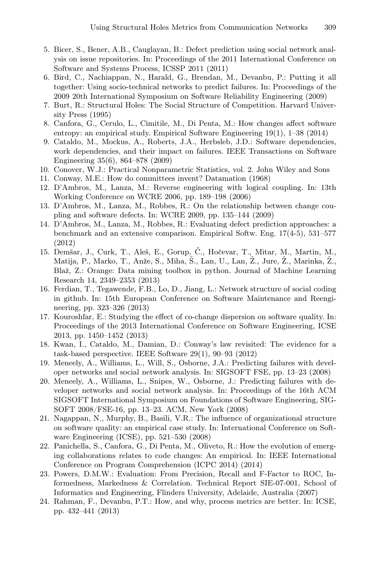- <span id="page-15-12"></span><span id="page-15-9"></span><span id="page-15-8"></span><span id="page-15-5"></span><span id="page-15-2"></span>5. Bicer, S., Bener, A.B., Cauglayan, B.: Defect prediction using social network analysis on issue repositories. In: Proceedings of the 2011 International Conference on Software and Systems Process, ICSSP 2011 (2011)
- 6. Bird, C., Nachiappan, N., Harald, G., Brendan, M., Devanbu, P.: Putting it all together: Using socio-technical networks to predict failures. In: Proceedings of the 2009 20th International Symposium on Software Reliability Engineering (2009)
- <span id="page-15-19"></span><span id="page-15-6"></span><span id="page-15-4"></span>7. Burt, R.: Structural Holes: The Social Structure of Competition. Harvard University Press (1995)
- <span id="page-15-10"></span>8. Canfora, G., Cerulo, L., Cimitile, M., Di Penta, M.: How changes affect software entropy: an empirical study. Empirical Software Engineering 19(1), 1–38 (2014)
- <span id="page-15-18"></span>9. Cataldo, M., Mockus, A., Roberts, J.A., Herbsleb, J.D.: Software dependencies, work dependencies, and their impact on failures. IEEE Transactions on Software Engineering 35(6), 864–878 (2009)
- <span id="page-15-17"></span>10. Conover, W.J.: Practical Nonparametric Statistics, vol. 2. John Wiley and Sons
- 11. Conway, M.E.: How do committees invent? Datamation (1968)
- 12. D'Ambros, M., Lanza, M.: Reverse engineering with logical coupling. In: 13th Working Conference on WCRE 2006, pp. 189–198 (2006)
- <span id="page-15-14"></span>13. D'Ambros, M., Lanza, M., Robbes, R.: On the relationship between change coupling and software defects. In: WCRE 2009, pp. 135–144 (2009)
- <span id="page-15-11"></span>14. D'Ambros, M., Lanza, M., Robbes, R.: Evaluating defect prediction approaches: a benchmark and an extensive comparison. Empirical Softw. Eng. 17(4-5), 531–577 (2012)
- <span id="page-15-3"></span>15. Demšar, J., Curk, T., Aleš, E., Gorup, Č., Hočevar, T., Mitar, M., Martin, M., Matija, P., Marko, T., Anže, S., Miha, Š., Lan, U., Lan, Ž., Jure, Ž., Marinka, Ž., Blaž, Z.: Orange: Data mining toolbox in python. Journal of Machine Learning Research 14, 2349–2353 (2013)
- <span id="page-15-13"></span><span id="page-15-7"></span>16. Ferdian, T., Tegawende, F.B., Lo, D., Jiang, L.: Network structure of social coding in github. In: 15th European Conference on Software Maintenance and Reengineering, pp. 323–326 (2013)
- 17. Kouroshfar, E.: Studying the effect of co-change dispersion on software quality. In: Proceedings of the 2013 International Conference on Software Engineering, ICSE 2013, pp. 1450–1452 (2013)
- <span id="page-15-0"></span>18. Kwan, I., Cataldo, M., Damian, D.: Conway's law revisited: The evidence for a task-based perspective. IEEE Software 29(1), 90–93 (2012)
- <span id="page-15-1"></span>19. Meneely, A., Williams, L., Will, S., Osborne, J.A.: Predicting failures with developer networks and social network analysis. In: SIGSOFT FSE, pp. 13–23 (2008)
- <span id="page-15-16"></span>20. Meneely, A., Williams, L., Snipes, W., Osborne, J.: Predicting failures with developer networks and social network analysis. In: Proceedings of the 16th ACM SIGSOFT International Symposium on Foundations of Software Engineering, SIG-SOFT 2008/FSE-16, pp. 13–23. ACM, New York (2008)
- <span id="page-15-15"></span>21. Nagappan, N., Murphy, B., Basili, V.R.: The influence of organizational structure on software quality: an empirical case study. In: International Conference on Software Engineering (ICSE), pp. 521–530 (2008)
- 22. Panichella, S., Canfora, G., Di Penta, M., Oliveto, R.: How the evolution of emerging collaborations relates to code changes: An empirical. In: IEEE International Conference on Program Comprehension (ICPC 2014) (2014)
- 23. Powers, D.M.W.: Evaluation: From Precision, Recall and F-Factor to ROC, Informedness, Markedness & Correlation. Technical Report SIE-07-001, School of Informatics and Engineering, Flinders University, Adelaide, Australia (2007)
- 24. Rahman, F., Devanbu, P.T.: How, and why, process metrics are better. In: ICSE, pp. 432–441 (2013)